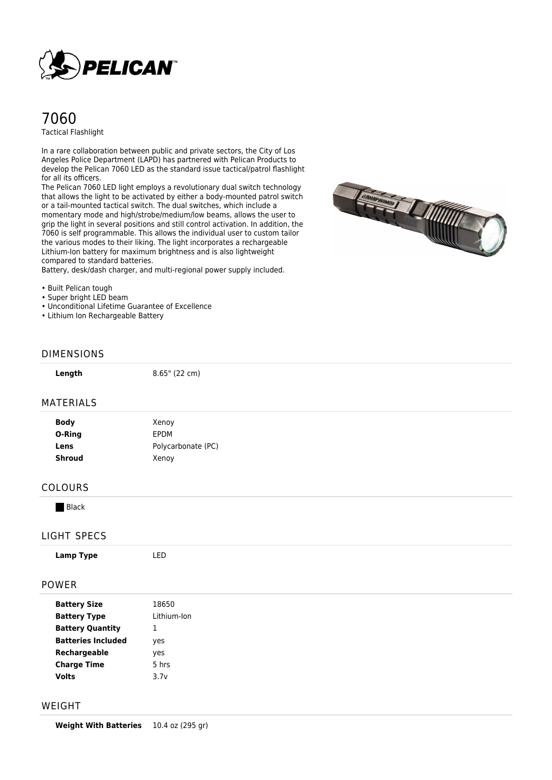

# 7060 Tactical Flashlight

In a rare collaboration between public and private sectors, the City of Los Angeles Police Department (LAPD) has partnered with Pelican Products to develop the Pelican 7060 LED as the standard issue tactical/patrol flashlight for all its officers.

The Pelican 7060 LED light employs a revolutionary dual switch technology that allows the light to be activated by either a body-mounted patrol switch or a tail-mounted tactical switch. The dual switches, which include a momentary mode and high/strobe/medium/low beams, allows the user to grip the light in several positions and still control activation. In addition, the 7060 is self programmable. This allows the individual user to custom tailor the various modes to their liking. The light incorporates a rechargeable Lithium-Ion battery for maximum brightness and is also lightweight compared to standard batteries.

Battery, desk/dash charger, and multi-regional power supply included.



- Built Pelican tough
- Super bright LED beam
- Unconditional Lifetime Guarantee of Excellence
- Lithium Ion Rechargeable Battery

### DIMENSIONS

| - | r<br>п | ı<br>ш<br>ı |
|---|--------|-------------|
|   |        |             |

**Length** 8.65" (22 cm)

#### MATERIALS

| <b>Body</b><br>O-Ring | Xenoy<br><b>FPDM</b> |  |
|-----------------------|----------------------|--|
| Lens                  | Polycarbonate (PC)   |  |
| <b>Shroud</b>         | Xenoy                |  |

#### COLOURS

**Black** 

### LIGHT SPECS

| --------                  |             |  |
|---------------------------|-------------|--|
| <b>Lamp Type</b>          | LED         |  |
| <b>POWER</b>              |             |  |
| <b>Battery Size</b>       | 18650       |  |
| <b>Battery Type</b>       | Lithium-Ion |  |
| <b>Battery Quantity</b>   | п.<br>Ŧ     |  |
| <b>Batteries Included</b> | yes         |  |
| Rechargeable              | yes         |  |
| <b>Charge Time</b>        | 5 hrs       |  |

### WEIGHT

**Weight With Batteries** 10.4 oz (295 gr)

**Volts** 3.7v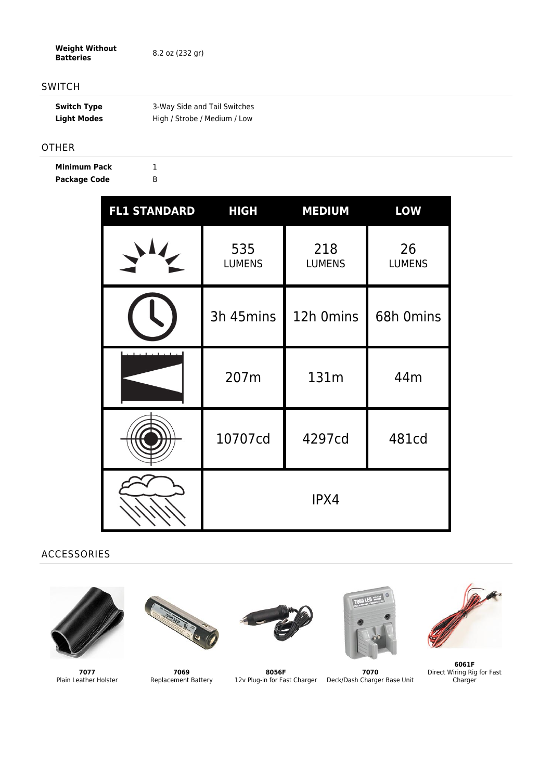**Weight Without Batteries** 8.2 oz (232 gr)

## SWITCH

| <b>Switch Type</b> | 3-Way Side and Tail Switches |
|--------------------|------------------------------|
| <b>Light Modes</b> | High / Strobe / Medium / Low |

### OTHER

**Minimum Pack** 1 **Package Code** B

| <b>FL1 STANDARD</b> | <b>HIGH</b>          | <b>MEDIUM</b>        | <b>LOW</b>          |
|---------------------|----------------------|----------------------|---------------------|
|                     | 535<br><b>LUMENS</b> | 218<br><b>LUMENS</b> | 26<br><b>LUMENS</b> |
|                     | 3h 45mins            | 12h 0mins            | 68h 0mins           |
|                     | 207m                 | 131m                 | 44m                 |
|                     | 10707cd              | 4297cd               | 481cd               |
|                     |                      | IPX4                 |                     |

# ACCESSORIES



**7077** Plain Leather Holster



**7069** Replacement Battery



**8056F**



12v Plug-in for Fast Charger Deck/Dash Charger Base Unit **7070**



**6061F** Direct Wiring Rig for Fast Charger